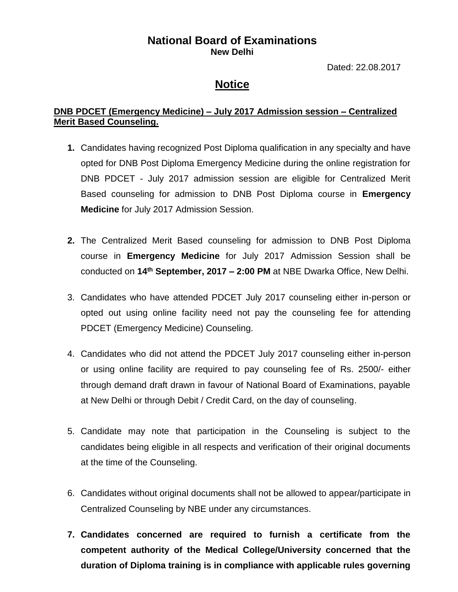## **National Board of Examinations New Delhi**

Dated: 22.08.2017

## **Notice**

## **DNB PDCET (Emergency Medicine) – July 2017 Admission session – Centralized Merit Based Counseling.**

- **1.** Candidates having recognized Post Diploma qualification in any specialty and have opted for DNB Post Diploma Emergency Medicine during the online registration for DNB PDCET - July 2017 admission session are eligible for Centralized Merit Based counseling for admission to DNB Post Diploma course in **Emergency Medicine** for July 2017 Admission Session.
- **2.** The Centralized Merit Based counseling for admission to DNB Post Diploma course in **Emergency Medicine** for July 2017 Admission Session shall be conducted on **14th September, 2017 – 2:00 PM** at NBE Dwarka Office, New Delhi.
- 3. Candidates who have attended PDCET July 2017 counseling either in-person or opted out using online facility need not pay the counseling fee for attending PDCET (Emergency Medicine) Counseling.
- 4. Candidates who did not attend the PDCET July 2017 counseling either in-person or using online facility are required to pay counseling fee of Rs. 2500/- either through demand draft drawn in favour of National Board of Examinations, payable at New Delhi or through Debit / Credit Card, on the day of counseling.
- 5. Candidate may note that participation in the Counseling is subject to the candidates being eligible in all respects and verification of their original documents at the time of the Counseling.
- 6. Candidates without original documents shall not be allowed to appear/participate in Centralized Counseling by NBE under any circumstances.
- **7. Candidates concerned are required to furnish a certificate from the competent authority of the Medical College/University concerned that the duration of Diploma training is in compliance with applicable rules governing**